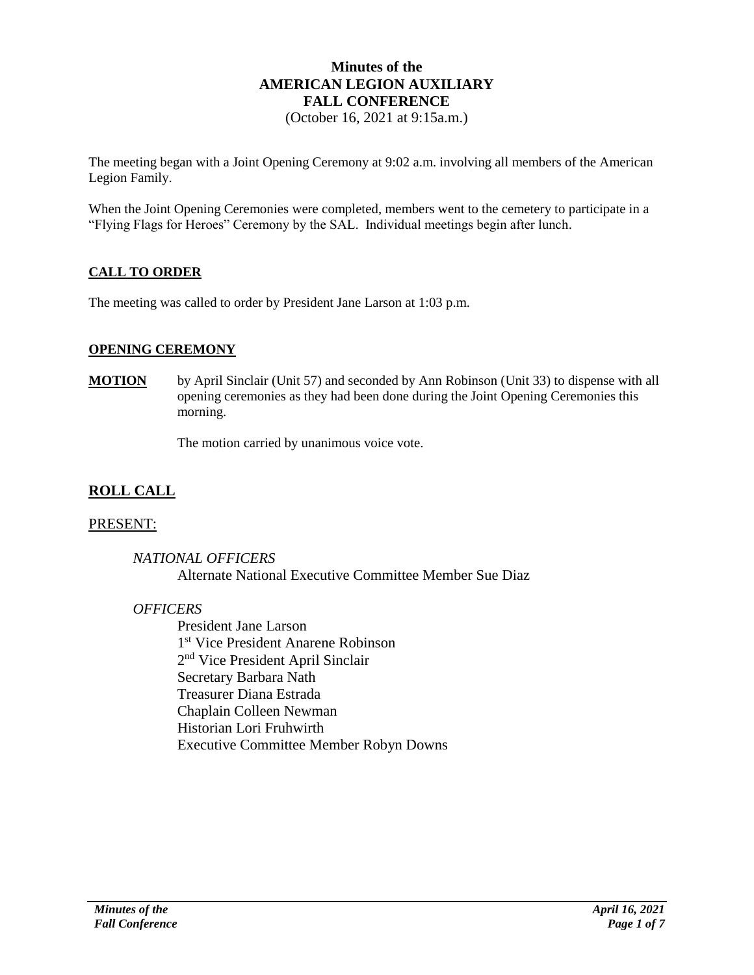# **Minutes of the AMERICAN LEGION AUXILIARY FALL CONFERENCE**

(October 16, 2021 at 9:15a.m.)

The meeting began with a Joint Opening Ceremony at 9:02 a.m. involving all members of the American Legion Family.

When the Joint Opening Ceremonies were completed, members went to the cemetery to participate in a "Flying Flags for Heroes" Ceremony by the SAL. Individual meetings begin after lunch.

## **CALL TO ORDER**

The meeting was called to order by President Jane Larson at 1:03 p.m.

#### **OPENING CEREMONY**

**MOTION** by April Sinclair (Unit 57) and seconded by Ann Robinson (Unit 33) to dispense with all opening ceremonies as they had been done during the Joint Opening Ceremonies this morning.

The motion carried by unanimous voice vote.

## **ROLL CALL**

#### PRESENT:

*NATIONAL OFFICERS* Alternate National Executive Committee Member Sue Diaz

## *OFFICERS*

President Jane Larson 1 st Vice President Anarene Robinson 2<sup>nd</sup> Vice President April Sinclair Secretary Barbara Nath Treasurer Diana Estrada Chaplain Colleen Newman Historian Lori Fruhwirth Executive Committee Member Robyn Downs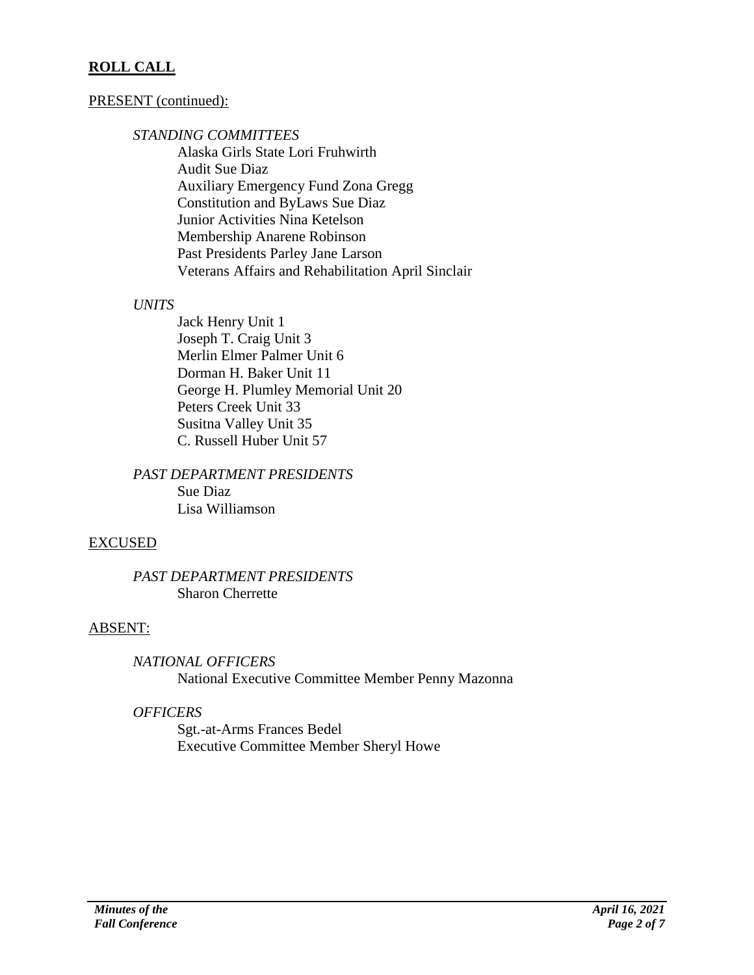# **ROLL CALL**

## PRESENT (continued):

#### *STANDING COMMITTEES*

Alaska Girls State Lori Fruhwirth Audit Sue Diaz Auxiliary Emergency Fund Zona Gregg Constitution and ByLaws Sue Diaz Junior Activities Nina Ketelson Membership Anarene Robinson Past Presidents Parley Jane Larson Veterans Affairs and Rehabilitation April Sinclair

## *UNITS*

Jack Henry Unit 1 Joseph T. Craig Unit 3 Merlin Elmer Palmer Unit 6 Dorman H. Baker Unit 11 George H. Plumley Memorial Unit 20 Peters Creek Unit 33 Susitna Valley Unit 35 C. Russell Huber Unit 57

*PAST DEPARTMENT PRESIDENTS* Sue Diaz Lisa Williamson

## EXCUSED

#### *PAST DEPARTMENT PRESIDENTS* Sharon Cherrette

## ABSENT:

*NATIONAL OFFICERS*

National Executive Committee Member Penny Mazonna

## *OFFICERS*

Sgt.-at-Arms Frances Bedel Executive Committee Member Sheryl Howe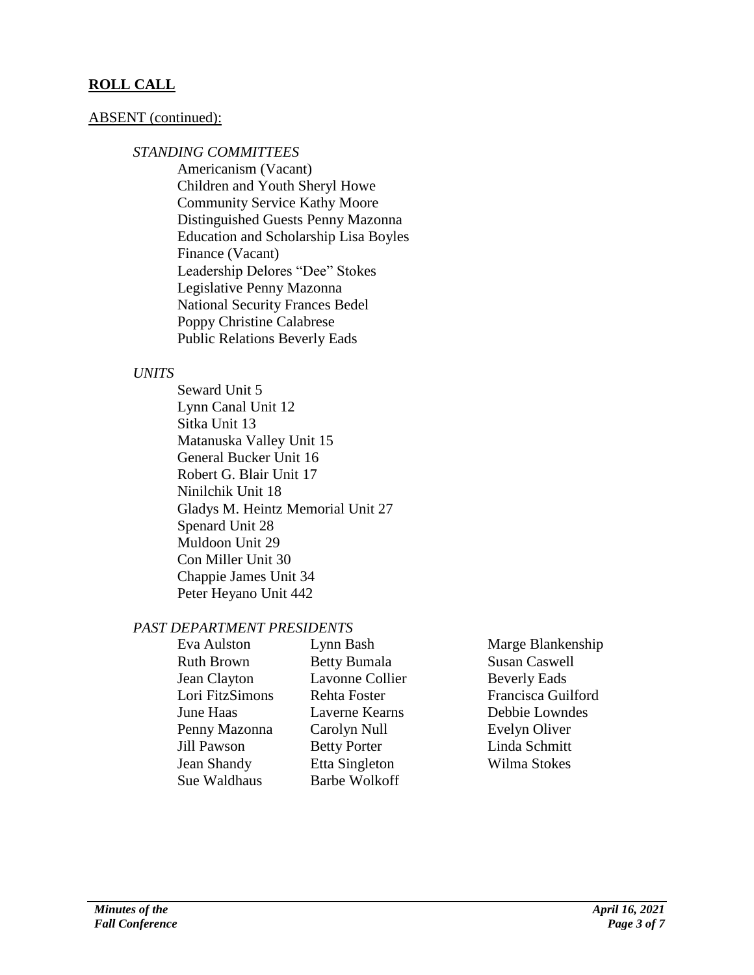# **ROLL CALL**

#### ABSENT (continued):

#### *STANDING COMMITTEES*

Americanism (Vacant) Children and Youth Sheryl Howe Community Service Kathy Moore Distinguished Guests Penny Mazonna Education and Scholarship Lisa Boyles Finance (Vacant) Leadership Delores "Dee" Stokes Legislative Penny Mazonna National Security Frances Bedel Poppy Christine Calabrese Public Relations Beverly Eads

#### *UNITS*

Seward Unit 5 Lynn Canal Unit 12 Sitka Unit 13 Matanuska Valley Unit 15 General Bucker Unit 16 Robert G. Blair Unit 17 Ninilchik Unit 18 Gladys M. Heintz Memorial Unit 27 Spenard Unit 28 Muldoon Unit 29 Con Miller Unit 30 Chappie James Unit 34 Peter Heyano Unit 442

## *PAST DEPARTMENT PRESIDENTS*

| Eva Aulston       | Lynn Bash              | Marge Blankenship    |
|-------------------|------------------------|----------------------|
| <b>Ruth Brown</b> | <b>Betty Bumala</b>    | <b>Susan Caswell</b> |
| Jean Clayton      | <b>Lavonne Collier</b> | <b>Beverly Eads</b>  |
| Lori FitzSimons   | Rehta Foster           | Francisca Guilford   |
| June Haas         | Laverne Kearns         | Debbie Lowndes       |
| Penny Mazonna     | Carolyn Null           | Evelyn Oliver        |
| Jill Pawson       | <b>Betty Porter</b>    | Linda Schmitt        |
| Jean Shandy       | Etta Singleton         | Wilma Stokes         |
| Sue Waldhaus      | <b>Barbe Wolkoff</b>   |                      |
|                   |                        |                      |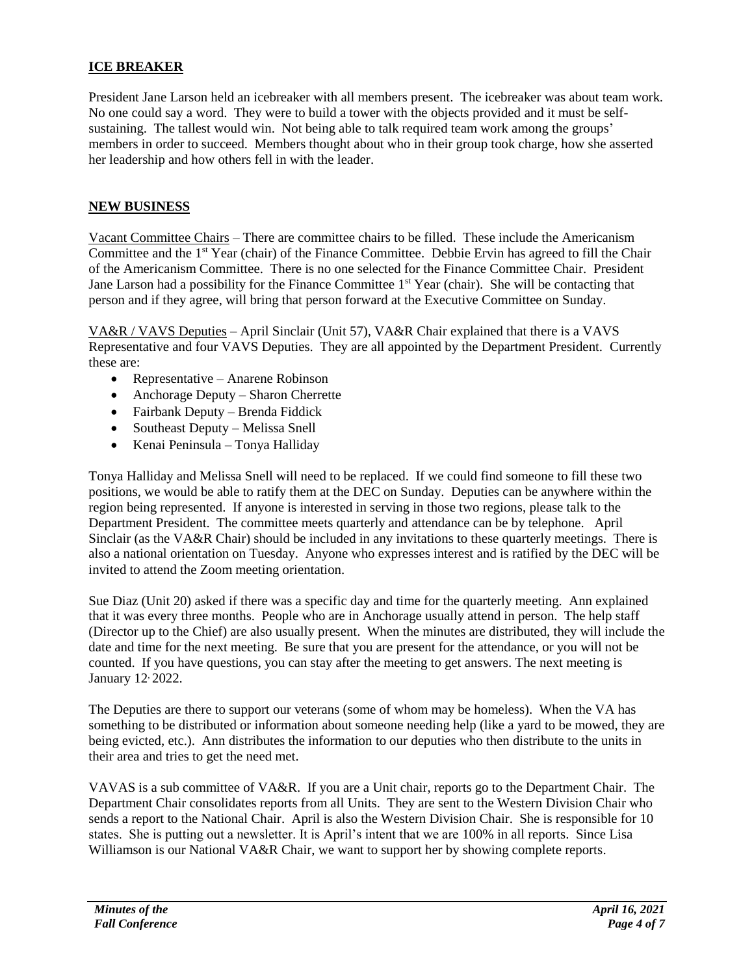## **ICE BREAKER**

President Jane Larson held an icebreaker with all members present. The icebreaker was about team work. No one could say a word. They were to build a tower with the objects provided and it must be selfsustaining. The tallest would win. Not being able to talk required team work among the groups' members in order to succeed. Members thought about who in their group took charge, how she asserted her leadership and how others fell in with the leader.

#### **NEW BUSINESS**

Vacant Committee Chairs – There are committee chairs to be filled. These include the Americanism Committee and the 1st Year (chair) of the Finance Committee. Debbie Ervin has agreed to fill the Chair of the Americanism Committee. There is no one selected for the Finance Committee Chair. President Jane Larson had a possibility for the Finance Committee 1<sup>st</sup> Year (chair). She will be contacting that person and if they agree, will bring that person forward at the Executive Committee on Sunday.

VA&R / VAVS Deputies – April Sinclair (Unit 57), VA&R Chair explained that there is a VAVS Representative and four VAVS Deputies. They are all appointed by the Department President. Currently these are:

- Representative Anarene Robinson
- Anchorage Deputy Sharon Cherrette
- Fairbank Deputy Brenda Fiddick
- Southeast Deputy Melissa Snell
- Kenai Peninsula Tonya Halliday

Tonya Halliday and Melissa Snell will need to be replaced. If we could find someone to fill these two positions, we would be able to ratify them at the DEC on Sunday. Deputies can be anywhere within the region being represented. If anyone is interested in serving in those two regions, please talk to the Department President. The committee meets quarterly and attendance can be by telephone. April Sinclair (as the VA&R Chair) should be included in any invitations to these quarterly meetings. There is also a national orientation on Tuesday. Anyone who expresses interest and is ratified by the DEC will be invited to attend the Zoom meeting orientation.

Sue Diaz (Unit 20) asked if there was a specific day and time for the quarterly meeting. Ann explained that it was every three months. People who are in Anchorage usually attend in person. The help staff (Director up to the Chief) are also usually present. When the minutes are distributed, they will include the date and time for the next meeting. Be sure that you are present for the attendance, or you will not be counted. If you have questions, you can stay after the meeting to get answers. The next meeting is January 12, 2022.

The Deputies are there to support our veterans (some of whom may be homeless). When the VA has something to be distributed or information about someone needing help (like a yard to be mowed, they are being evicted, etc.). Ann distributes the information to our deputies who then distribute to the units in their area and tries to get the need met.

VAVAS is a sub committee of VA&R. If you are a Unit chair, reports go to the Department Chair. The Department Chair consolidates reports from all Units. They are sent to the Western Division Chair who sends a report to the National Chair. April is also the Western Division Chair. She is responsible for 10 states. She is putting out a newsletter. It is April's intent that we are 100% in all reports. Since Lisa Williamson is our National VA&R Chair, we want to support her by showing complete reports.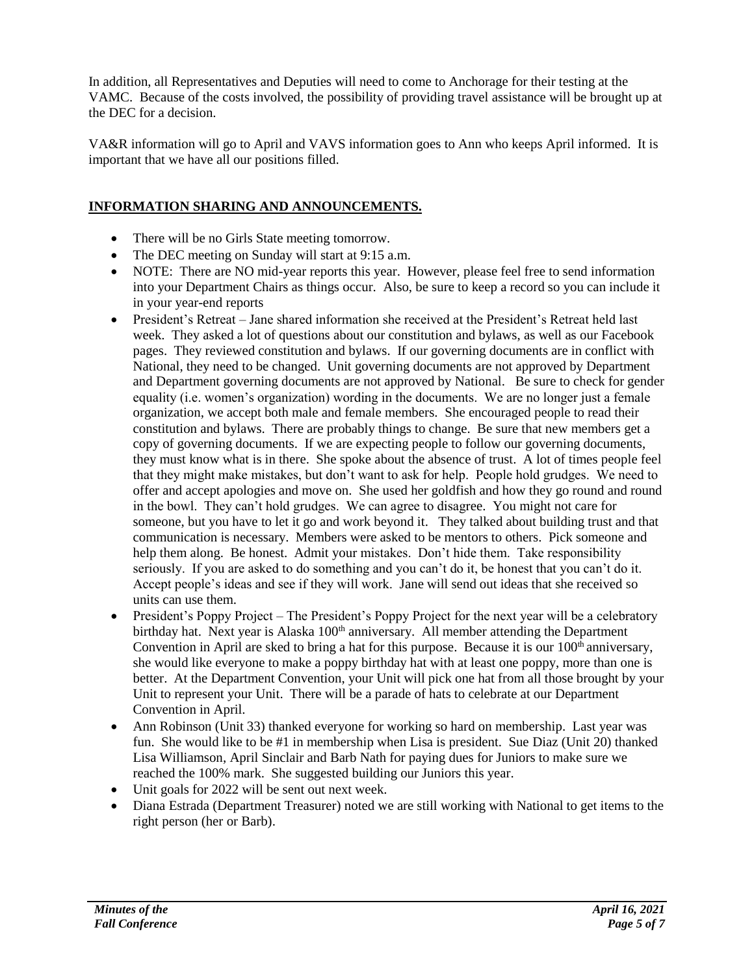In addition, all Representatives and Deputies will need to come to Anchorage for their testing at the VAMC. Because of the costs involved, the possibility of providing travel assistance will be brought up at the DEC for a decision.

VA&R information will go to April and VAVS information goes to Ann who keeps April informed. It is important that we have all our positions filled.

## **INFORMATION SHARING AND ANNOUNCEMENTS.**

- There will be no Girls State meeting tomorrow.
- The DEC meeting on Sunday will start at 9:15 a.m.
- NOTE: There are NO mid-year reports this year. However, please feel free to send information into your Department Chairs as things occur. Also, be sure to keep a record so you can include it in your year-end reports
- President's Retreat Jane shared information she received at the President's Retreat held last week. They asked a lot of questions about our constitution and bylaws, as well as our Facebook pages. They reviewed constitution and bylaws. If our governing documents are in conflict with National, they need to be changed. Unit governing documents are not approved by Department and Department governing documents are not approved by National. Be sure to check for gender equality (i.e. women's organization) wording in the documents. We are no longer just a female organization, we accept both male and female members. She encouraged people to read their constitution and bylaws. There are probably things to change. Be sure that new members get a copy of governing documents. If we are expecting people to follow our governing documents, they must know what is in there. She spoke about the absence of trust. A lot of times people feel that they might make mistakes, but don't want to ask for help. People hold grudges. We need to offer and accept apologies and move on. She used her goldfish and how they go round and round in the bowl. They can't hold grudges. We can agree to disagree. You might not care for someone, but you have to let it go and work beyond it. They talked about building trust and that communication is necessary. Members were asked to be mentors to others. Pick someone and help them along. Be honest. Admit your mistakes. Don't hide them. Take responsibility seriously. If you are asked to do something and you can't do it, be honest that you can't do it. Accept people's ideas and see if they will work. Jane will send out ideas that she received so units can use them.
- President's Poppy Project The President's Poppy Project for the next year will be a celebratory birthday hat. Next year is Alaska 100<sup>th</sup> anniversary. All member attending the Department Convention in April are sked to bring a hat for this purpose. Because it is our  $100<sup>th</sup>$  anniversary, she would like everyone to make a poppy birthday hat with at least one poppy, more than one is better. At the Department Convention, your Unit will pick one hat from all those brought by your Unit to represent your Unit. There will be a parade of hats to celebrate at our Department Convention in April.
- Ann Robinson (Unit 33) thanked everyone for working so hard on membership. Last year was fun. She would like to be #1 in membership when Lisa is president. Sue Diaz (Unit 20) thanked Lisa Williamson, April Sinclair and Barb Nath for paying dues for Juniors to make sure we reached the 100% mark. She suggested building our Juniors this year.
- Unit goals for 2022 will be sent out next week.
- Diana Estrada (Department Treasurer) noted we are still working with National to get items to the right person (her or Barb).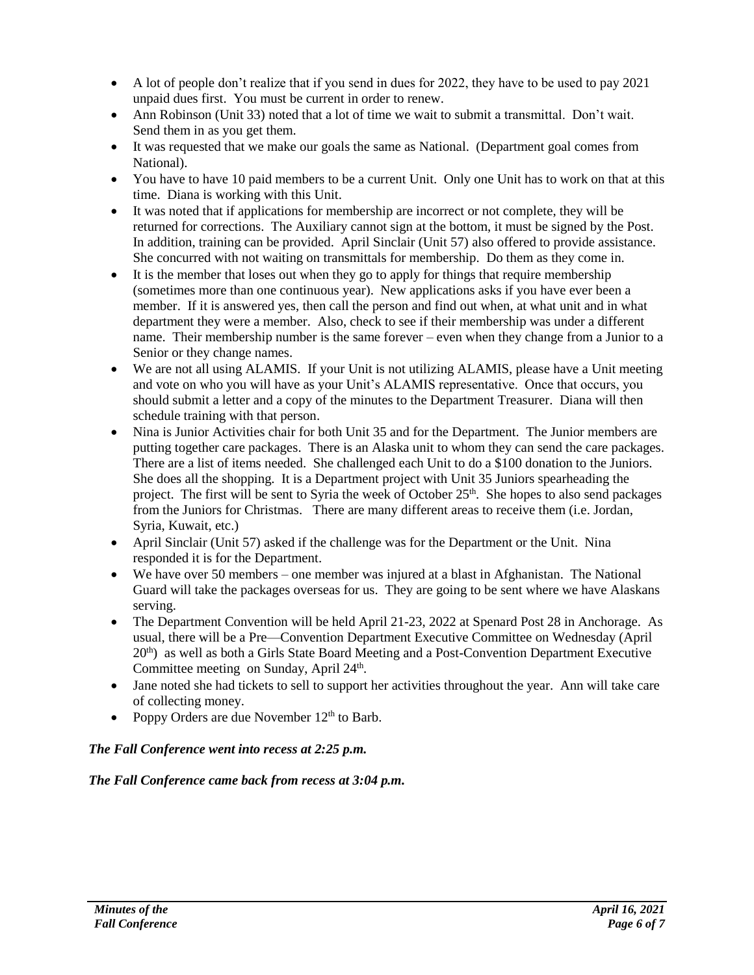- $\bullet$  A lot of people don't realize that if you send in dues for 2022, they have to be used to pay 2021 unpaid dues first. You must be current in order to renew.
- Ann Robinson (Unit 33) noted that a lot of time we wait to submit a transmittal. Don't wait. Send them in as you get them.
- It was requested that we make our goals the same as National. (Department goal comes from National).
- You have to have 10 paid members to be a current Unit. Only one Unit has to work on that at this time. Diana is working with this Unit.
- It was noted that if applications for membership are incorrect or not complete, they will be returned for corrections. The Auxiliary cannot sign at the bottom, it must be signed by the Post. In addition, training can be provided. April Sinclair (Unit 57) also offered to provide assistance. She concurred with not waiting on transmittals for membership. Do them as they come in.
- It is the member that loses out when they go to apply for things that require membership (sometimes more than one continuous year). New applications asks if you have ever been a member. If it is answered yes, then call the person and find out when, at what unit and in what department they were a member. Also, check to see if their membership was under a different name. Their membership number is the same forever – even when they change from a Junior to a Senior or they change names.
- We are not all using ALAMIS. If your Unit is not utilizing ALAMIS, please have a Unit meeting and vote on who you will have as your Unit's ALAMIS representative. Once that occurs, you should submit a letter and a copy of the minutes to the Department Treasurer. Diana will then schedule training with that person.
- Nina is Junior Activities chair for both Unit 35 and for the Department. The Junior members are putting together care packages. There is an Alaska unit to whom they can send the care packages. There are a list of items needed. She challenged each Unit to do a \$100 donation to the Juniors. She does all the shopping. It is a Department project with Unit 35 Juniors spearheading the project. The first will be sent to Syria the week of October 25<sup>th</sup>. She hopes to also send packages from the Juniors for Christmas. There are many different areas to receive them (i.e. Jordan, Syria, Kuwait, etc.)
- April Sinclair (Unit 57) asked if the challenge was for the Department or the Unit. Nina responded it is for the Department.
- We have over 50 members one member was injured at a blast in Afghanistan. The National Guard will take the packages overseas for us. They are going to be sent where we have Alaskans serving.
- The Department Convention will be held April 21-23, 2022 at Spenard Post 28 in Anchorage. As usual, there will be a Pre—Convention Department Executive Committee on Wednesday (April  $20<sup>th</sup>$ ) as well as both a Girls State Board Meeting and a Post-Convention Department Executive Committee meeting on Sunday, April 24<sup>th</sup>.
- Jane noted she had tickets to sell to support her activities throughout the year. Ann will take care of collecting money.
- Poppy Orders are due November  $12<sup>th</sup>$  to Barb.

## *The Fall Conference went into recess at 2:25 p.m.*

#### *The Fall Conference came back from recess at 3:04 p.m.*